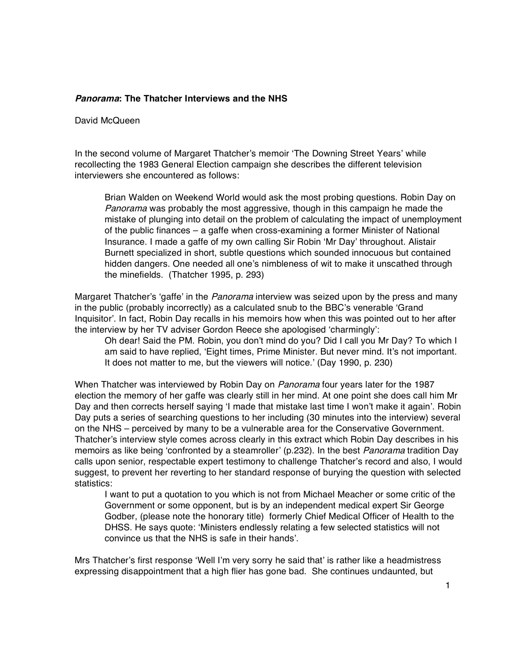## **Panorama: The Thatcher Interviews and the NHS**

## David McQueen

In the second volume of Margaret Thatcher's memoir 'The Downing Street Years' while recollecting the 1983 General Election campaign she describes the different television interviewers she encountered as follows:

Brian Walden on Weekend World would ask the most probing questions. Robin Day on Panorama was probably the most aggressive, though in this campaign he made the mistake of plunging into detail on the problem of calculating the impact of unemployment of the public finances – a gaffe when cross-examining a former Minister of National Insurance. I made a gaffe of my own calling Sir Robin 'Mr Day' throughout. Alistair Burnett specialized in short, subtle questions which sounded innocuous but contained hidden dangers. One needed all one's nimbleness of wit to make it unscathed through the minefields. (Thatcher 1995, p. 293)

Margaret Thatcher's 'gaffe' in the Panorama interview was seized upon by the press and many in the public (probably incorrectly) as a calculated snub to the BBC's venerable 'Grand Inquisitor'. In fact, Robin Day recalls in his memoirs how when this was pointed out to her after the interview by her TV adviser Gordon Reece she apologised 'charmingly':

Oh dear! Said the PM. Robin, you don't mind do you? Did I call you Mr Day? To which I am said to have replied, 'Eight times, Prime Minister. But never mind. It's not important. It does not matter to me, but the viewers will notice.' (Day 1990, p. 230)

When Thatcher was interviewed by Robin Day on Panorama four years later for the 1987 election the memory of her gaffe was clearly still in her mind. At one point she does call him Mr Day and then corrects herself saying 'I made that mistake last time I won't make it again'. Robin Day puts a series of searching questions to her including (30 minutes into the interview) several on the NHS – perceived by many to be a vulnerable area for the Conservative Government. Thatcher's interview style comes across clearly in this extract which Robin Day describes in his memoirs as like being 'confronted by a steamroller' (p.232). In the best *Panorama* tradition Day calls upon senior, respectable expert testimony to challenge Thatcher's record and also, I would suggest, to prevent her reverting to her standard response of burying the question with selected statistics:

I want to put a quotation to you which is not from Michael Meacher or some critic of the Government or some opponent, but is by an independent medical expert Sir George Godber, (please note the honorary title) formerly Chief Medical Officer of Health to the DHSS. He says quote: Ministers endlessly relating a few selected statistics will not convince us that the NHS is safe in their hands'.

Mrs Thatcher's first response 'Well I'm very sorry he said that' is rather like a headmistress expressing disappointment that a high flier has gone bad. She continues undaunted, but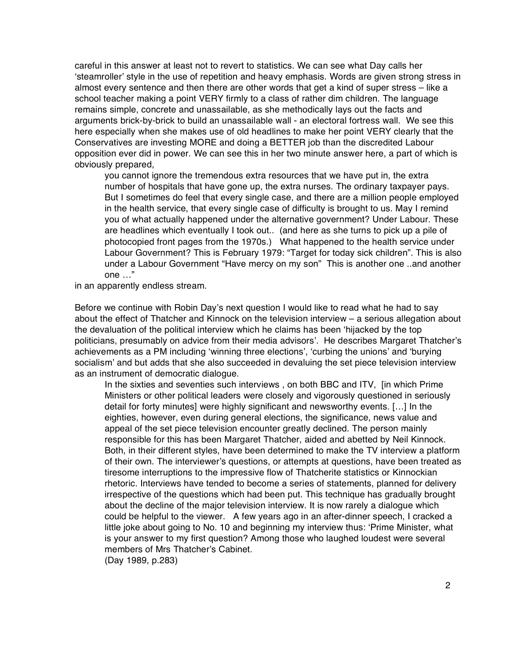careful in this answer at least not to revert to statistics. We can see what Day calls her 'steamroller' style in the use of repetition and heavy emphasis. Words are given strong stress in almost every sentence and then there are other words that get a kind of super stress – like a school teacher making a point VERY firmly to a class of rather dim children. The language remains simple, concrete and unassailable, as she methodically lays out the facts and arguments brick-by-brick to build an unassailable wall - an electoral fortress wall. We see this here especially when she makes use of old headlines to make her point VERY clearly that the Conservatives are investing MORE and doing a BETTER job than the discredited Labour opposition ever did in power. We can see this in her two minute answer here, a part of which is obviously prepared,

you cannot ignore the tremendous extra resources that we have put in, the extra number of hospitals that have gone up, the extra nurses. The ordinary taxpayer pays. But I sometimes do feel that every single case, and there are a million people employed in the health service, that every single case of difficulty is brought to us. May I remind you of what actually happened under the alternative government? Under Labour. These are headlines which eventually I took out.. (and here as she turns to pick up a pile of photocopied front pages from the 1970s.) What happened to the health service under Labour Government? This is February 1979: "Target for today sick children". This is also under a Labour Government "Have mercy on my son" This is another one ..and another one …"

in an apparently endless stream.

Before we continue with Robin Day's next question I would like to read what he had to say about the effect of Thatcher and Kinnock on the television interview – a serious allegation about the devaluation of the political interview which he claims has been 'hijacked by the top politicians, presumably on advice from their media advisors'. He describes Margaret Thatcher's achievements as a PM including 'winning three elections', 'curbing the unions' and 'burying socialism' and but adds that she also succeeded in devaluing the set piece television interview as an instrument of democratic dialogue.

In the sixties and seventies such interviews , on both BBC and ITV, [in which Prime Ministers or other political leaders were closely and vigorously questioned in seriously detail for forty minutes] were highly significant and newsworthy events. […] In the eighties, however, even during general elections, the significance, news value and appeal of the set piece television encounter greatly declined. The person mainly responsible for this has been Margaret Thatcher, aided and abetted by Neil Kinnock. Both, in their different styles, have been determined to make the TV interview a platform of their own. The interviewer's questions, or attempts at questions, have been treated as tiresome interruptions to the impressive flow of Thatcherite statistics or Kinnockian rhetoric. Interviews have tended to become a series of statements, planned for delivery irrespective of the questions which had been put. This technique has gradually brought about the decline of the major television interview. It is now rarely a dialogue which could be helpful to the viewer. A few years ago in an after-dinner speech, I cracked a little joke about going to No. 10 and beginning my interview thus: 'Prime Minister, what is your answer to my first question? Among those who laughed loudest were several members of Mrs Thatcher's Cabinet.

(Day 1989, p.283)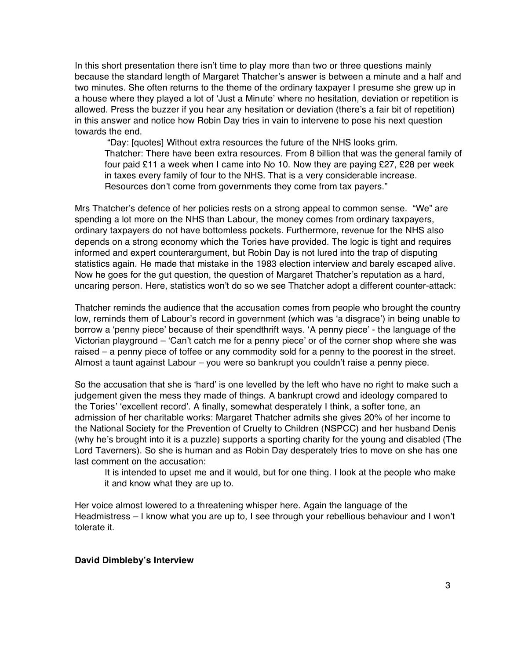In this short presentation there isn't time to play more than two or three questions mainly because the standard length of Margaret Thatcher's answer is between a minute and a half and two minutes. She often returns to the theme of the ordinary taxpayer I presume she grew up in a house where they played a lot of 'Just a Minute' where no hesitation, deviation or repetition is allowed. Press the buzzer if you hear any hesitation or deviation (there's a fair bit of repetition) in this answer and notice how Robin Day tries in vain to intervene to pose his next question towards the end.

 "Day: [quotes] Without extra resources the future of the NHS looks grim. Thatcher: There have been extra resources. From 8 billion that was the general family of four paid £11 a week when I came into No 10. Now they are paying £27, £28 per week in taxes every family of four to the NHS. That is a very considerable increase. Resources don't come from governments they come from tax payers."

Mrs Thatcher's defence of her policies rests on a strong appeal to common sense. "We" are spending a lot more on the NHS than Labour, the money comes from ordinary taxpayers, ordinary taxpayers do not have bottomless pockets. Furthermore, revenue for the NHS also depends on a strong economy which the Tories have provided. The logic is tight and requires informed and expert counterargument, but Robin Day is not lured into the trap of disputing statistics again. He made that mistake in the 1983 election interview and barely escaped alive. Now he goes for the gut question, the question of Margaret Thatcher's reputation as a hard, uncaring person. Here, statistics won't do so we see Thatcher adopt a different counter-attack:

Thatcher reminds the audience that the accusation comes from people who brought the country low, reminds them of Labour's record in government (which was 'a disgrace') in being unable to borrow a 'penny piece' because of their spendthrift ways. 'A penny piece' - the language of the Victorian playground – 'Can't catch me for a penny piece' or of the corner shop where she was raised – a penny piece of toffee or any commodity sold for a penny to the poorest in the street. Almost a taunt against Labour – you were so bankrupt you couldn't raise a penny piece.

So the accusation that she is 'hard' is one levelled by the left who have no right to make such a judgement given the mess they made of things. A bankrupt crowd and ideology compared to the Tories' 'excellent record'. A finally, somewhat desperately I think, a softer tone, an admission of her charitable works: Margaret Thatcher admits she gives 20% of her income to the National Society for the Prevention of Cruelty to Children (NSPCC) and her husband Denis (why he's brought into it is a puzzle) supports a sporting charity for the young and disabled (The Lord Taverners). So she is human and as Robin Day desperately tries to move on she has one last comment on the accusation:

It is intended to upset me and it would, but for one thing. I look at the people who make it and know what they are up to.

Her voice almost lowered to a threatening whisper here. Again the language of the Headmistress - I know what you are up to, I see through your rebellious behaviour and I won't tolerate it.

## **David Dimblebys Interview**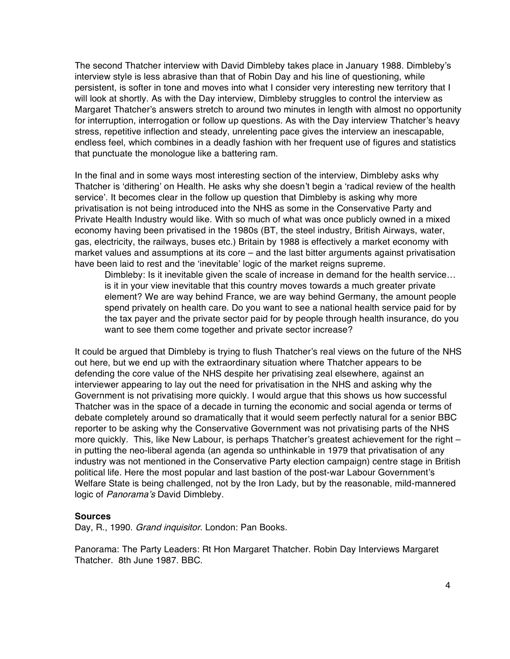The second Thatcher interview with David Dimbleby takes place in January 1988. Dimbleby's interview style is less abrasive than that of Robin Day and his line of questioning, while persistent, is softer in tone and moves into what I consider very interesting new territory that I will look at shortly. As with the Day interview, Dimbleby struggles to control the interview as Margaret Thatcher's answers stretch to around two minutes in length with almost no opportunity for interruption, interrogation or follow up questions. As with the Day interview Thatcher's heavy stress, repetitive inflection and steady, unrelenting pace gives the interview an inescapable, endless feel, which combines in a deadly fashion with her frequent use of figures and statistics that punctuate the monologue like a battering ram.

In the final and in some ways most interesting section of the interview, Dimbleby asks why Thatcher is 'dithering' on Health. He asks why she doesn't begin a 'radical review of the health service'. It becomes clear in the follow up question that Dimbleby is asking why more privatisation is not being introduced into the NHS as some in the Conservative Party and Private Health Industry would like. With so much of what was once publicly owned in a mixed economy having been privatised in the 1980s (BT, the steel industry, British Airways, water, gas, electricity, the railways, buses etc.) Britain by 1988 is effectively a market economy with market values and assumptions at its core – and the last bitter arguments against privatisation have been laid to rest and the 'inevitable' logic of the market reigns supreme.

Dimbleby: Is it inevitable given the scale of increase in demand for the health service… is it in your view inevitable that this country moves towards a much greater private element? We are way behind France, we are way behind Germany, the amount people spend privately on health care. Do you want to see a national health service paid for by the tax payer and the private sector paid for by people through health insurance, do you want to see them come together and private sector increase?

It could be argued that Dimbleby is trying to flush Thatcher's real views on the future of the NHS out here, but we end up with the extraordinary situation where Thatcher appears to be defending the core value of the NHS despite her privatising zeal elsewhere, against an interviewer appearing to lay out the need for privatisation in the NHS and asking why the Government is not privatising more quickly. I would argue that this shows us how successful Thatcher was in the space of a decade in turning the economic and social agenda or terms of debate completely around so dramatically that it would seem perfectly natural for a senior BBC reporter to be asking why the Conservative Government was not privatising parts of the NHS more quickly. This, like New Labour, is perhaps Thatcher's greatest achievement for the right – in putting the neo-liberal agenda (an agenda so unthinkable in 1979 that privatisation of any industry was not mentioned in the Conservative Party election campaign) centre stage in British political life. Here the most popular and last bastion of the post-war Labour Government's Welfare State is being challenged, not by the Iron Lady, but by the reasonable, mild-mannered logic of Panorama's David Dimbleby.

## **Sources**

Day, R., 1990. Grand inquisitor. London: Pan Books.

Panorama: The Party Leaders: Rt Hon Margaret Thatcher. Robin Day Interviews Margaret Thatcher. 8th June 1987. BBC.